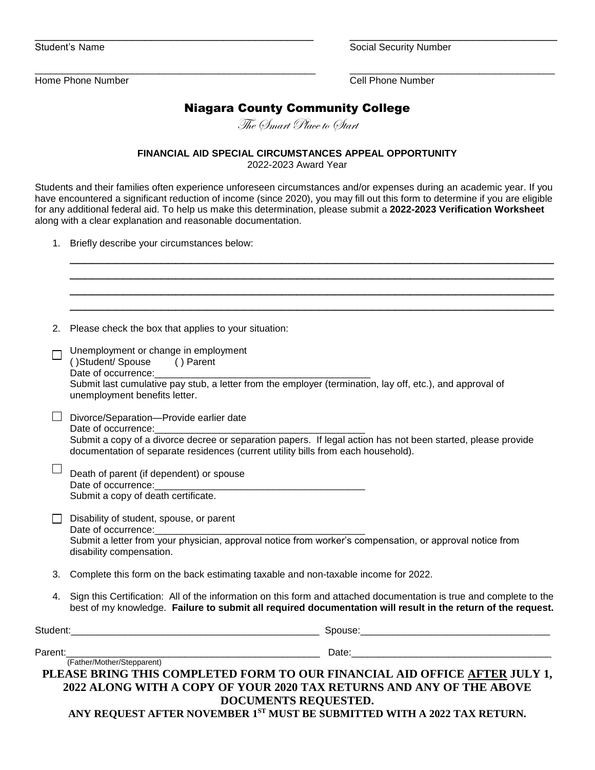Student's Name **Student's Name** Security Number

\_\_\_\_\_\_\_\_\_\_\_\_\_\_\_\_\_\_\_\_\_\_\_\_\_\_\_\_\_\_\_\_\_\_\_\_\_\_\_\_\_\_\_\_\_\_\_\_\_\_\_\_ \_\_\_\_\_\_\_\_\_\_\_\_\_\_\_\_\_\_\_\_\_\_\_\_\_\_\_\_\_\_\_\_\_\_\_\_\_\_ Home Phone Number Cell Phone Number

## Niagara County Community College

\_\_\_\_\_\_\_\_\_\_\_\_\_\_\_\_\_\_\_\_\_\_\_\_\_\_\_\_\_\_\_\_\_\_\_\_\_\_\_\_\_\_\_ \_\_\_\_\_\_\_\_\_\_\_\_\_\_\_\_\_\_\_\_\_\_\_\_\_\_\_\_\_\_\_\_

The *Smart Place to Start* 

**FINANCIAL AID SPECIAL CIRCUMSTANCES APPEAL OPPORTUNITY**

2022-2023 Award Year

Students and their families often experience unforeseen circumstances and/or expenses during an academic year. If you have encountered a significant reduction of income (since 2020), you may fill out this form to determine if you are eligible for any additional federal aid. To help us make this determination, please submit a **2022-2023 Verification Worksheet** along with a clear explanation and reasonable documentation.

1. Briefly describe your circumstances below:

| 2. | Please check the box that applies to your situation:                                                                                                                                                                                                                                                   |
|----|--------------------------------------------------------------------------------------------------------------------------------------------------------------------------------------------------------------------------------------------------------------------------------------------------------|
|    | Unemployment or change in employment<br>()Student/Spouse<br>() Parent<br>Date of occurrence:__________<br>Submit last cumulative pay stub, a letter from the employer (termination, lay off, etc.), and approval of<br>unemployment benefits letter.                                                   |
|    | Divorce/Separation-Provide earlier date<br>Date of occurrence:<br>Submit a copy of a divorce decree or separation papers. If legal action has not been started, please provide<br>documentation of separate residences (current utility bills from each household).                                    |
|    | Death of parent (if dependent) or spouse<br>Date of occurrence:<br>Submit a copy of death certificate.                                                                                                                                                                                                 |
|    | Disability of student, spouse, or parent<br>Submit a letter from your physician, approval notice from worker's compensation, or approval notice from<br>disability compensation.                                                                                                                       |
| 3. | Complete this form on the back estimating taxable and non-taxable income for 2022.                                                                                                                                                                                                                     |
| 4. | Sign this Certification: All of the information on this form and attached documentation is true and complete to the<br>best of my knowledge. Failure to submit all required documentation will result in the return of the request.                                                                    |
|    |                                                                                                                                                                                                                                                                                                        |
|    | Parent:_______<br>(Father/Mother/Stepparent)<br>PLEASE BRING THIS COMPLETED FORM TO OUR FINANCIAL AID OFFICE AFTER JULY 1,<br>2022 ALONG WITH A COPY OF YOUR 2020 TAX RETURNS AND ANY OF THE ABOVE<br>DOCUMENTS REQUESTED.<br>ANY REQUEST AFTER NOVEMBER 1ST MUST BE SUBMITTED WITH A 2022 TAX RETURN. |